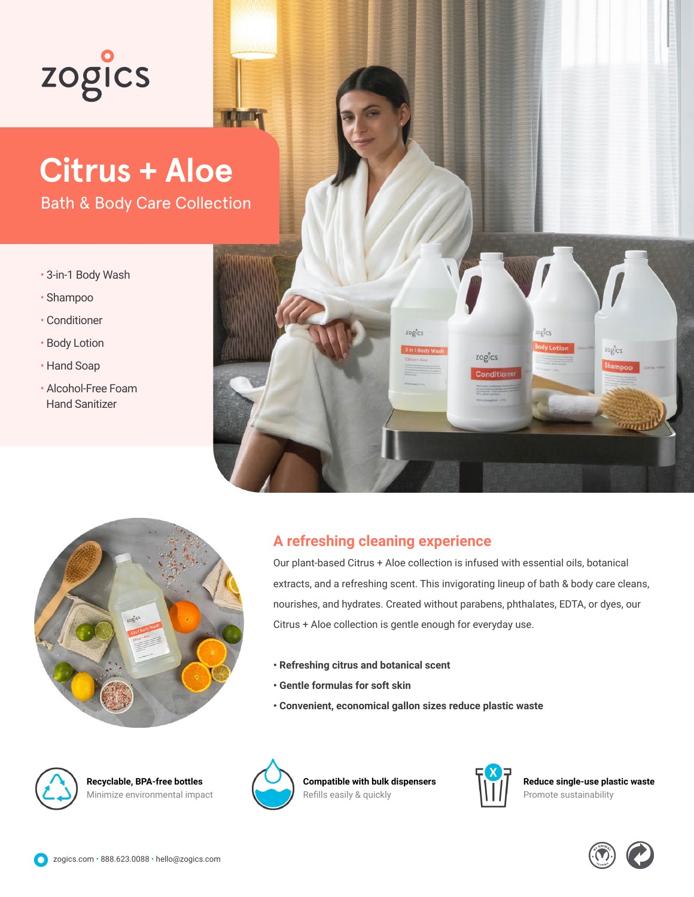## zogics

## **Citrus + Aloe**

Bath & Body Care Collection

- 3-in-1 Body Wash
- Shampoo
- Conditioner
- Body Lotion
- Hand Soap
- Alcohol-Free Foam Hand Sanitizer





## **A refreshing cleaning experience**

Our plant-based Citrus + Aloe collection is infused with essential oils, botanical extracts, and a refreshing scent. This invigorating lineup of bath & body care cleans, nourishes, and hydrates. Created without parabens, phthalates, EDTA, or dyes, our Citrus + Aloe collection is gentle enough for everyday use.

- **Refreshing citrus and botanical scent**
- **Gentle formulas for soft skin**
- **Convenient, economical gallon sizes reduce plastic waste**



**Recyclable, BPA-free bottles** Minimize environmental impact



**Compatible with bulk dispensers** Refills easily & quickly



**Reduce single-use plastic waste** Promote sustainability